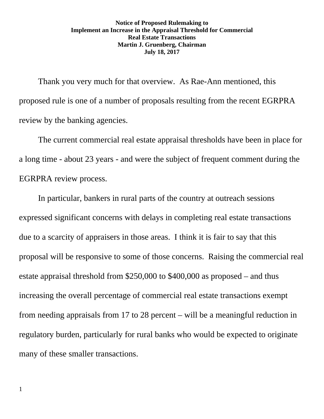## **Notice of Proposed Rulemaking to Implement an Increase in the Appraisal Threshold for Commercial Real Estate Transactions Martin J. Gruenberg, Chairman July 18, 2017**

Thank you very much for that overview. As Rae-Ann mentioned, this proposed rule is one of a number of proposals resulting from the recent EGRPRA review by the banking agencies.

The current commercial real estate appraisal thresholds have been in place for a long time - about 23 years - and were the subject of frequent comment during the EGRPRA review process.

In particular, bankers in rural parts of the country at outreach sessions expressed significant concerns with delays in completing real estate transactions due to a scarcity of appraisers in those areas. I think it is fair to say that this proposal will be responsive to some of those concerns. Raising the commercial real estate appraisal threshold from \$250,000 to \$400,000 as proposed – and thus increasing the overall percentage of commercial real estate transactions exempt from needing appraisals from 17 to 28 percent – will be a meaningful reduction in regulatory burden, particularly for rural banks who would be expected to originate many of these smaller transactions.